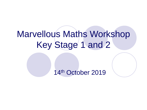# Marvellous Maths Workshop Key Stage 1 and 2

14th October 2019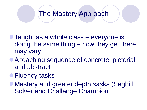#### The Mastery Approach

- Taught as a whole class everyone is doing the same thing – how they get there may vary
- A teaching sequence of concrete, pictorial and abstract
- **Fluency tasks**
- Mastery and greater depth sasks (Seghill Solver and Challenge Champion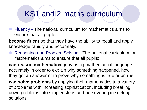#### KS1 and 2 maths curriculum

 Fluency - The national curriculum for mathematics aims to ensure that all pupils:

**become fluent** so that they have the ability to recall and apply knowledge rapidly and accurately.

 Reasoning and Problem Solving - The national curriculum for mathematics aims to ensure that all pupils:

**can reason mathematically** by using mathematical language accurately in order to explain why something happened, how they got an answer or to prove why something is true or untrue

**can solve problems** by applying their mathematics to a variety of problems with increasing sophistication, including breaking down problems into simpler steps and persevering in seeking solutions.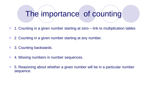## The importance of counting

- 1. Counting in a given number starting at zero link to multiplication tables
- 2 Counting in a given number starting at any number.
- 3. Counting backwards.
- 4. Missing numbers in number sequences.
- 5. Reasoning about whether a given number will be in a particular number sequence.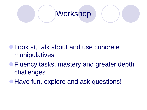

- Look at, talk about and use concrete manipulatives
- **Fluency tasks, mastery and greater depth** challenges
- **Have fun, explore and ask questions!**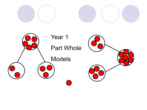

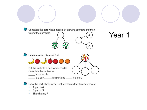

- A part is 4
- A part is 3
- The whole is 7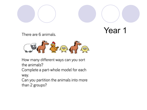



There are 6 animals.



How many different ways can you sort the animals?

Complete a part-whole model for each way.

Can you partition the animals into more than 2 groups?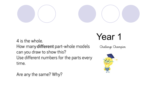

4 is the whole. How many different part-whole models can you draw to show this? Use different numbers for the parts every time.

## Year 1

Challenge Champion



Are any the same? Why?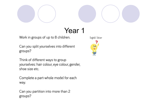

Work in groups of up to 8 children.

Can you split yourselves into different groups?

Think of different ways to group yourselves: hair colour, eye colour, gender, shoe size etc.

Complete a part-whole model for each way.

Can you partition into more than 2 groups?

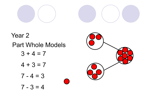

 $\mathcal{L}$ 

Year<sub>2</sub> **Part Whole Models**  $3 + 4 = 7$  $4 + 3 = 7$  $7 - 4 = 3$  $7 - 3 = 4$ 

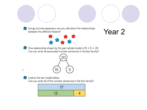

Using concrete apparatus, can you talk about the relationships between the different flowers?





One relationship shown by this part-whole model is  $15 + 5 = 20$ Can you write all associated number sentences in the fact family?





Look at the bar model below.

Can you write all of the number sentences in the fact family?

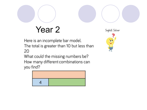Here is an incomplete bar model. The total is greater than 10 but less than 20

What could the missing numbers be? How many different combinations can you find?



Seghill Solver

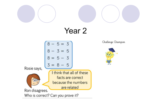



Challenge Champion

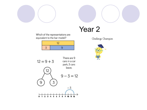



Challenge Champion



Which of the representations are equivalent to the bar model?



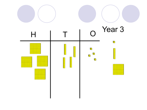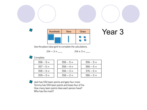



#### Year<sub>3</sub>

Use the place value grid to complete the calculations.

$$
214 - 3 = \underline{\hspace{1cm}} \qquad \qquad 214 + 3 = \underline{\hspace{1cm}}
$$

#### Complete:  $\Box$

| $356 - 5 =$ | $356 - 5 =$ | $356 - 5 =$ |
|-------------|-------------|-------------|
| $357 - 5 =$ | $356 - 4 =$ | $366 - 5 =$ |
| $358 - 5 =$ | $356 - 3 =$ | $376 - 5 =$ |
| $359 - 5 =$ | $356 - 2 =$ | $386 - 5 =$ |



Jack has 534 team points and gets four more. Tommy has 534 team points and loses four of his. How many team points does each person have? Who has the most?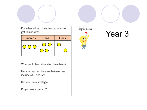

Rosie has added or subtracted ones to get this answer.

| <b>Hundreds</b> | <b>Tens</b> | Ones |  |
|-----------------|-------------|------|--|
|                 |             |      |  |

What could her calculation have been?

Her starting numbers are between and include 340 and 350

Did you use a strategy?

Do you see a pattern?

Seghill Solver



## Year<sub>3</sub>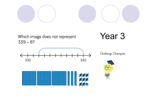

Which image does not represent  $339 - 8?$ 

Year<sub>3</sub>





Challenge Champion

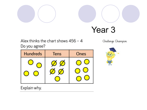



## Year<sub>3</sub>

Alex thinks the chart shows 456 - 4 Do you agree?

**Hundreds** Ones **Tens** 

Challenge Champion



Explain why.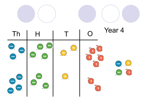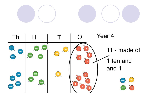

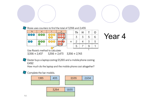